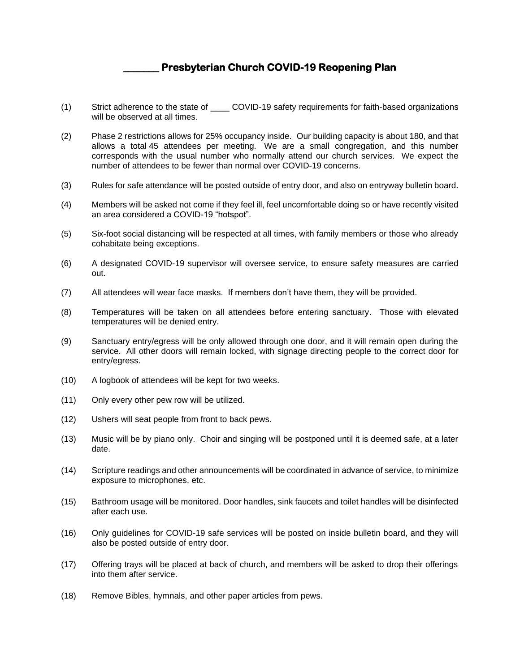## **\_\_\_\_\_\_\_ Presbyterian Church COVID-19 Reopening Plan**

- (1) Strict adherence to the state of \_\_\_\_ COVID-19 safety requirements for faith-based organizations will be observed at all times.
- (2) Phase 2 restrictions allows for 25% occupancy inside. Our building capacity is about 180, and that allows a total 45 attendees per meeting. We are a small congregation, and this number corresponds with the usual number who normally attend our church services. We expect the number of attendees to be fewer than normal over COVID-19 concerns.
- (3) Rules for safe attendance will be posted outside of entry door, and also on entryway bulletin board.
- (4) Members will be asked not come if they feel ill, feel uncomfortable doing so or have recently visited an area considered a COVID-19 "hotspot".
- (5) Six-foot social distancing will be respected at all times, with family members or those who already cohabitate being exceptions.
- (6) A designated COVID-19 supervisor will oversee service, to ensure safety measures are carried out.
- (7) All attendees will wear face masks. If members don't have them, they will be provided.
- (8) Temperatures will be taken on all attendees before entering sanctuary. Those with elevated temperatures will be denied entry.
- (9) Sanctuary entry/egress will be only allowed through one door, and it will remain open during the service. All other doors will remain locked, with signage directing people to the correct door for entry/egress.
- (10) A logbook of attendees will be kept for two weeks.
- (11) Only every other pew row will be utilized.
- (12) Ushers will seat people from front to back pews.
- (13) Music will be by piano only. Choir and singing will be postponed until it is deemed safe, at a later date.
- (14) Scripture readings and other announcements will be coordinated in advance of service, to minimize exposure to microphones, etc.
- (15) Bathroom usage will be monitored. Door handles, sink faucets and toilet handles will be disinfected after each use.
- (16) Only guidelines for COVID-19 safe services will be posted on inside bulletin board, and they will also be posted outside of entry door.
- (17) Offering trays will be placed at back of church, and members will be asked to drop their offerings into them after service.
- (18) Remove Bibles, hymnals, and other paper articles from pews.